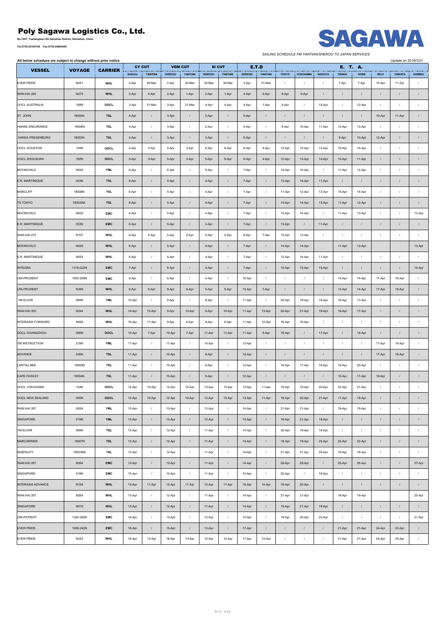## **Poly Sagawa Logistics Co., Ltd.**<br>No.1007, Yuellangwan Rd.,Nanshan District, Shenzhen, China

**Tel:0755-25194700 Fax:0755-25884500**





*SAILING SCHEDULE FM YANTIAN/SHEKOU TO JAPAN SERVICES*

| All below schedues are subject to change without prior notice |               |                | <b>CY CUT</b><br><b>VGM CUT</b> |                  |               |                  |               |                   |               |                         |                  |                  |               | E. T. A.         |            |                  | Update on 2018/3/31 |                           |
|---------------------------------------------------------------|---------------|----------------|---------------------------------|------------------|---------------|------------------|---------------|-------------------|---------------|-------------------------|------------------|------------------|---------------|------------------|------------|------------------|---------------------|---------------------------|
| <b>VESSEL</b>                                                 | <b>VOYAGE</b> | <b>CARRIER</b> | <b>SHEKOU</b>                   | YANTIAN          | <b>SHEKOU</b> | YANTIAN          | <b>SHEKOU</b> | SI CUT<br>YANTIAN | <b>SHEKOU</b> | <b>E.T.D</b><br>YANTIAN | <b>TOKYO</b>     | YOKOHAMA         | <b>NAGOYA</b> | <b>OSAKA</b>     | KOBE       | <b>MOJI</b>      | <b>HAKATA</b>       | SHIMIZU                   |
| <b>EVER PRIDE</b>                                             | N241          | <b>WHL</b>     | 2-Apr                           | 30-Mar           | 2-Apr         | 30-Mar           | 30-Mar        | 30-Mar            | 3-Apr         | 31-Mar                  | $\prime$         | $\prime$         | $\prime$      | 7-Apr            | 7-Apr      | 10-Apr           | 11-Apr              |                           |
| WAN HAI 265                                                   | N275          | <b>WHL</b>     | 3-Apr                           | 4-Apr            | 2-Apr         | 1-Apr            | 2-Apr         | 1-Apr             | 4-Apr         | 5-Apr                   | 9-Apr            | 9-Apr            |               | $\prime$         | $\prime$   | $\prime$         | $\prime$            | $\cal I$                  |
| OOCL AUSTRALIA                                                | 168N          | OOCL           | 3-Apr                           | 31-Mar           | 3-Apr         | 31-Mar           | 4-Apr         | 4-Apr             | 4-Apr         | 1-Apr                   | 9-Apr            | $\cal I$         | 10-Apr        | $\prime$         | 12-Apr     | $\prime$         | $\prime$            | $\sqrt{ }$                |
| ST. JOHN                                                      | 18005N        | <b>TSL</b>     | 4-Apr                           | $\cal I$         | 3-Apr         | $\sqrt{ }$       | 2-Apr         | $\cal I$          | 5-Apr         | $\sqrt{2}$              | $\sqrt{ }$       | $\sqrt{ }$       | $\sqrt{ }$    | $\prime$         | $\prime$   | 10-Apr           | 11-Apr              | $\cal I$                  |
| <b>HANSE ENDURANCE</b>                                        | 18006N        | TSL            | 4-Apr                           | $\sqrt{ }$       | 3-Apr         | $\prime$         | 2-Apr         | $\sqrt{ }$        | 5-Apr         | $\sqrt{ }$              | 9-Apr            | 10-Apr           | 11-Apr        | 12-Apr           | 13-Apr     | $\boldsymbol{I}$ | $\boldsymbol{I}$    | $\prime$                  |
| <b>HANSA FRESENBURG</b>                                       | 18002N        | <b>TSL</b>     | 4-Apr                           | $\cal I$         | 3-Apr         | $\sqrt{ }$       | 2-Apr         | $\cal I$          | 5-Apr         | $\sqrt{2}$              | $\prime$         | $\cal I$         | $\prime$      | 9-Apr            | 10-Apr     | 12-Apr           | $\cal I$            | $\sqrt{ }$                |
| OOCL HOUSTON                                                  | 130N          | OOCL           | 5-Apr                           | 3-Apr            | 5-Apr         | 3-Apr            | 6-Apr         | 6-Apr             | 6-Apr         | 4-Apr                   | 12-Apr           | 12-Apr           | 13-Apr        | 15-Apr           | 14-Apr     | $\prime$         | $\prime$            | $\prime$                  |
| OOCL ZHOUSHAN                                                 | 182N          | OOCL           | 5-Apr                           | 3-Apr            | 5-Apr         | 3-Apr            | 5-Apr         | 6-Apr             | 6-Apr         | 4-Apr                   | 12-Apr           | 13-Apr           | 14-Apr        | 10-Apr           | 11-Apr     | $\prime$         | $\cal I$            | $\cal I$                  |
| MOONCHILD                                                     | N025          | <b>YML</b>     | 6-Apr                           | $\prime$         | 6-Apr         | $\sqrt{ }$       | 5-Apr         | $\cal I$          | 7-Apr         | $\cal I$                | 14-Apr           | 14-Apr           | $\sqrt{ }$    | 11-Apr           | 12-Apr     | $\sqrt{2}$       | $\prime$            | $\sqrt{ }$                |
| E.R. MARTINIQUE                                               | 053N          | <b>TSL</b>     | 6-Apr                           | $\cal I$         | 5-Apr         | $\cal I$         | 4-Apr         | $\sqrt{ }$        | 7-Apr         | $\sqrt{ }$              | 12-Apr           | 14-Apr           | 11-Apr        | $\sqrt{2}$       | $\prime$   | $\prime$         | $\prime$            | $\cal I$                  |
| <b>MARCLIFF</b>                                               | 18006N        | TSL            | 6-Apr                           | $\boldsymbol{I}$ | 5-Apr         | $\prime$         | 4-Apr         | $\cal I$          | 7-Apr         | $\cal I$                | 11-Apr           | 12-Apr           | 13-Apr        | 15-Apr           | 15-Apr     | $\prime$         | $\prime$            | $\prime$                  |
| <b>TS TOKYO</b>                                               | 18003NA       | <b>TSL</b>     | 6-Apr                           | $\prime$         | 5-Apr         | $\prime$         | 4-Apr         | $\prime$          | 7-Apr         | $\prime$                | 14-Apr           | 14-Apr           | 13-Apr        | 11-Apr           | 12-Apr     | $\prime$         | $\prime$            | $\prime$                  |
| MOONCHILD                                                     | N025          | EMC            | 6-Apr                           | $\prime$         | 5-Apr         | $\prime$         | 4-Apr         | $\cal I$          | 7-Apr         | $\sqrt{ }$              | 14-Apr           | 14-Apr           | $\prime$      | 11-Apr           | 12-Apr     | $\prime$         | $\prime$            | 13-Apr                    |
| E.R. MARTINIQUE                                               | 053N          | EMC            | 6-Apr                           | $\cal I$         | 5-Apr         | $\sqrt{ }$       | 4-Apr         | $\sqrt{ }$        | 7-Apr         | $\sqrt{ }$              | 13-Apr           | $\prime$         | 11-Apr        | $\prime$         | $\prime$   | $\prime$         | $\prime$            | $\boldsymbol{I}$          |
| WAN HAI 272                                                   | N107          | <b>WHL</b>     | 6-Apr                           | 4-Apr            | 5-Apr         | 4-Apr            | 5-Apr         | 4-Apr             | 8-Apr         | 7-Apr                   | 12-Apr           | 13-Apr           | $\sqrt{ }$    | $\prime$         | $\prime$   | $\prime$         | $\prime$            | $\prime$                  |
| <b>MOONCHILD</b>                                              | N025          | <b>WHL</b>     | 6-Apr                           | $\prime$         | 5-Apr         | $\cal I$         | 4-Apr         | $\sqrt{ }$        | 7-Apr         | $\sqrt{ }$              | 14-Apr           | 14-Apr           |               | 11-Apr           | 12-Apr     |                  |                     | 13-Apr                    |
| E.R. MARTINIQUE                                               | N053          | <b>WHL</b>     | 6-Apr                           | $\sqrt{ }$       | 5-Apr         | $\overline{1}$   | 4-Apr         | $\sqrt{ }$        | 7-Apr         | $\sqrt{ }$              | 12-Apr           | 14-Apr           | 11-Apr        | $\sqrt{2}$       | $\cal I$   | $\prime$         | $\prime$            | $\prime$                  |
| <b>INTEGRA</b>                                                | 1319-022N     | <b>EMC</b>     | 7-Apr                           | $\cal I$         | 6-Apr         | $\overline{I}$   | 4-Apr         | $\cal I$          | 7-Apr         | $\cal I$                | 12-Apr           | 13-Apr           | 15-Apr        | $\prime$         | $\prime$   | $\prime$         | $\prime$            | 14-Apr                    |
| UNI-PRUDENT                                                   | 1655-269N     | EMC            | 9-Apr                           | $\prime$         | 6-Apr         | $\overline{1}$   | 4-Apr         | $\prime$          | 10-Apr        | $\sqrt{ }$              | $\cal I$         | $\sqrt{ }$       | $\prime$      | 14-Apr           | 14-Apr     | 17-Apr           | 18-Apr              | $\prime$                  |
| UNI-PRUDENT                                                   | N269          | <b>WHL</b>     | 9-Apr                           | 6-Apr            | 9-Apr         | 6-Apr            | 5-Apr         | 5-Apr             | 10-Apr        | 7-Apr                   | $\sqrt{ }$       | $\sqrt{ }$       | $\sqrt{ }$    | 14-Apr           | 14-Apr     | 17-Apr           | 18-Apr              | $\cal I$                  |
| YM ELIXIR                                                     | 080N          | <b>YML</b>     | 10-Apr                          | $\prime$         | 9-Apr         | $\sqrt{ }$       | 9-Apr         | $\cal I$          | 11-Apr        | $\sqrt{ }$              | 20-Apr           | 19-Apr           | 18-Apr        | 16-Apr           | 17-Apr     | $\sqrt{2}$       | $\prime$            | $\prime$                  |
| WAN HAI 303                                                   | N244          | <b>WHL</b>     | 10-Apr                          | 12-Apr           | 9-Apr         | 10-Apr           | 9-Apr         | 10-Apr            | 11-Apr        | 13-Apr                  | 20-Apr           | 21-Apr           | 18-Apr        | 16-Apr           | 17-Apr     | $\sqrt{ }$       | $\prime$            | $\prime$                  |
| <b>INTERASIA FORWARD</b>                                      | N056          | <b>WHL</b>     | 10-Apr                          | 11-Apr           | 9-Apr         | 8-Apr            | 9-Apr         | 8-Apr             | 11-Apr        | 12-Apr                  | 16-Apr           | 16-Apr           | $\prime$      | $\boldsymbol{I}$ | $\sqrt{2}$ | $\prime$         | $\prime$            | $\overline{1}$            |
| OOCL GUANGZHOU                                                | 095N          | OOCL           | 10-Apr                          | 7-Apr            | 10-Apr        | 7-Apr            | 11-Apr        | 11-Apr            | 11-Apr        | 8-Apr                   | 16-Apr           | $\prime$         | 17-Apr        | $\prime$         | 19-Apr     | $\prime$         | $\prime$            | $\overline{1}$            |
| YM INSTRUCTION                                                | 218N          | <b>YML</b>     | 11-Apr                          | $\boldsymbol{I}$ | 11-Apr        | $\prime$         | 10-Apr        | $\boldsymbol{I}$  | 12-Apr        | $\cal I$                | $\sqrt{ }$       | $\boldsymbol{I}$ | $\prime$      | $\sqrt{ }$       | $\sqrt{ }$ | 17-Apr           | 18-Apr              | $\sqrt{ }$                |
| ADVANCE                                                       | 036N          | <b>TSL</b>     | 11-Apr                          | $\prime$         | 10-Apr        | $\sqrt{ }$       | 9-Apr         | $\sqrt{ }$        | 12-Apr        | $\prime$                | $\sqrt{ }$       | $\cal I$         | $\prime$      | $\prime$         | $\prime$   | 17-Apr           | 18-Apr              |                           |
| <b>LANTAU BEE</b>                                             | 18005N        | TSL            | 11-Apr                          | $\boldsymbol{I}$ | 10-Apr        | $\overline{1}$   | 9-Apr         | $\boldsymbol{I}$  | 12-Apr        | $\sqrt{ }$              | 16-Apr           | 17-Apr           | 18-Apr        | 19-Apr           | 20-Apr     | $\prime$         | $\prime$            | $\prime$                  |
| CAPE FAWLEY                                                   | 18004N        | <b>TSL</b>     | 11-Apr                          | $\prime$         | 10-Apr        | $\sqrt{ }$       | 9-Apr         | $\sqrt{ }$        | 12-Apr        | $\sqrt{ }$              | $\sqrt{ }$       | $\sqrt{ }$       | $\prime$      | 16-Apr           | 17-Apr     | 19-Apr           | $\prime$            | $\cal I$                  |
| OOCL YOKOHAMA                                                 | 124N          | OOCL           | 12-Apr                          | 10-Apr           | 12-Apr        | 10-Apr           | 13-Apr        | 13-Apr            | 13-Apr        | 11-Apr                  | 19-Apr           | 19-Apr           | 20-Apr        | 22-Apr           | 21-Apr     | $\prime$         | $\prime$            |                           |
| OOCL NEW ZEALAND                                              | 055N          | OOCL           | 12-Apr                          | 10-Apr           | 12-Apr        | 10-Apr           | 12-Apr        | 13-Apr            | 13-Apr        | 11-Apr                  | 19-Apr           | 20-Apr           | 21-Apr        | 17-Apr           | 18-Apr     | $\prime$         | $\prime$            |                           |
| WAN HAI 267                                                   | N264          | <b>YML</b>     | 13-Apr                          | $\prime$         | 13-Apr        | $\boldsymbol{I}$ | 12-Apr        | $\boldsymbol{I}$  | 14-Apr        | $\sqrt{ }$              | 21-Apr           | 21-Apr           | $\sqrt{ }$    | 18-Apr           | 19-Apr     | $\prime$         | $\prime$            | $\prime$                  |
| SINGAPORE                                                     | 019N          | <b>YML</b>     | 13-Apr                          | $\cal I$         | 13-Apr        | $\cal I$         | 12-Apr        | $\cal I$          | 14-Apr        | $\cal I$                | 19-Apr           | 21-Apr           | 18-Apr        | $\sqrt{2}$       | $\prime$   | $\boldsymbol{I}$ | $\prime$            | $\boldsymbol{I}$          |
| YM ELIXIR                                                     | 080N          | TSL            | 13-Apr                          | $\boldsymbol{I}$ | 12-Apr        | $\sqrt{ }$       | 11-Apr        | $\cal I$          | 14-Apr        | $\sqrt{ }$              | 20-Apr           | 19-Apr           | 18-Apr        | $\sqrt{ }$       | $\sqrt{2}$ | $\prime$         | $\boldsymbol{I}$    | $\ensuremath{\mathit{1}}$ |
| <b>MARCARRIER</b>                                             | 18007N        | <b>TSL</b>     | 13-Apr                          | $\prime$         | 12-Apr        | $\sqrt{ }$       | 11-Apr        | $\sqrt{ }$        | 14-Apr        | $\sqrt{2}$              | 18-Apr           | 19-Apr           | 20-Apr        | 22-Apr           | 22-Apr     | $\sqrt{ }$       | $\prime$            | $\cal I$                  |
| <b>INGENUITY</b>                                              | 18003NA       | TSL            | 13-Apr                          | $\cal I$         | 12-Apr        | $\cal I$         | 11-Apr        | $\cal I$          | 14-Apr        | $\cal I$                | 21-Apr           | 21-Apr           | 20-Apr        | 18-Apr           | 19-Apr     | $\boldsymbol{I}$ | $\sqrt{ }$          | $\sqrt{ }$                |
| WAN HAI 267                                                   | N264          | <b>EMC</b>     | 13-Apr                          | $\prime$         | 12-Apr        | $\overline{I}$   | 11-Apr        | $\prime$          | 14-Apr        | $\prime$                | 28-Apr           | 28-Apr           | $\prime$      | 25-Apr           | 26-Apr     | $\prime$         | $\prime$            | 27-Apr                    |
| SINGAPORE                                                     | 019N          | EMC            | 13-Apr                          | $\cal I$         | 12-Apr        | $\cal I$         | 11-Apr        | $\cal I$          | 14-Apr        | $\cal I$                | 20-Apr           | $\cal I$         | 18-Apr        | $\prime$         | $\cal I$   | $\prime$         | $\overline{1}$      | $\prime$                  |
| <b>INTERASIA ADVANCE</b>                                      | N194          | <b>WHL</b>     | 13-Apr                          | 11-Apr           | 12-Apr        | 11-Apr           | 12-Apr        | 11-Apr            | 15-Apr        | 14-Apr                  | 19-Apr           | 20-Apr           | $\prime$      | $\sqrt{2}$       | $\prime$   | $\prime$         | $\prime$            | $\cal I$                  |
| WAN HAI 267                                                   | N264          | <b>WHL</b>     | 13-Apr                          | $\prime$         | 12-Apr        | $\overline{1}$   | 11-Apr        | $\boldsymbol{I}$  | 14-Apr        | $\sqrt{ }$              | 21-Apr           | 21-Apr           |               | 18-Apr           | 19-Apr     |                  |                     | 20-Apr                    |
| SINGAPORE                                                     | N019          | <b>WHL</b>     | 13-Apr                          | $\cal I$         | 12-Apr        | $\cal I$         | 11-Apr        | $\cal I$          | 14-Apr        | $\sqrt{2}$              | 19-Apr           | 21-Apr           | 18-Apr        | $\sqrt{2}$       | $\prime$   | $\prime$         | $\prime$            | $\prime$                  |
| UNI-PATRIOT                                                   | 1320-260N     | EMC            | 14-Apr                          | $\prime$         | 13-Apr        | $\prime$         | 12-Apr        | $\boldsymbol{I}$  | 14-Apr        | $\sqrt{2}$              | 19-Apr           | 20-Apr           | 22-Apr        | $\sqrt{2}$       | $\sqrt{ }$ | $\prime$         | $\sqrt{ }$          | 21-Apr                    |
| <b>EVER PRIDE</b>                                             | 1656-242N     | <b>EMC</b>     | 16-Apr                          | $\cal I$         | 13-Apr        | $\sqrt{ }$       | 13-Apr        | $\cal I$          | 17-Apr        | $\cal I$                | $\boldsymbol{I}$ | $\cal I$         | $\prime$      | 21-Apr           | 21-Apr     | 24-Apr           | 25-Apr              | $\boldsymbol{I}$          |
| <b>EVER PRIDE</b>                                             | N242          | <b>WHL</b>     | 16-Apr                          | 13-Apr           | 16-Apr        | 13-Apr           | 12-Apr        | 12-Apr            | 17-Apr        | 14-Apr                  | $\sqrt{ }$       | $\cal I$         | $\prime$      | 21-Apr           | 21-Apr     | 24-Apr           | 25-Apr              | $\boldsymbol{I}$          |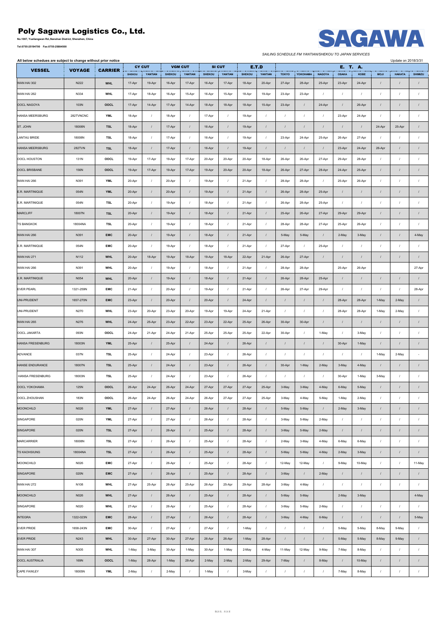## **Poly Sagawa Logistics Co., Ltd.**

**No.1007, Yueliangwan Rd.,Nanshan District, Shenzhen, China**





*SAILING SCHEDULE FM YANTIAN/SHEKOU TO JAPAN SERVICES*

| All below schedues are subject to change without prior notice |               |                |               |                  |               |                  |               |            |               |                  |              |            |               |              |          |                  | Update on 2018/3/31 |                           |
|---------------------------------------------------------------|---------------|----------------|---------------|------------------|---------------|------------------|---------------|------------|---------------|------------------|--------------|------------|---------------|--------------|----------|------------------|---------------------|---------------------------|
| <b>VESSEL</b>                                                 | <b>VOYAGE</b> | <b>CARRIER</b> |               | <b>CY CUT</b>    |               | <b>VGM CUT</b>   |               | SI CUT     | <b>E.T.D</b>  |                  |              |            |               | E. T. A.     |          |                  |                     |                           |
|                                                               |               |                | <b>SHEKOU</b> | YANTIAN          | <b>SHEKOU</b> | YANTIAN          | <b>SHEKOU</b> | YANTIAN    | <b>SHEKOU</b> | YANTIAN          | <b>TOKYO</b> | YOKOHAMA   | <b>NAGOYA</b> | <b>OSAKA</b> | KOBE     | <b>MOJI</b>      | <b>HAKATA</b>       | SHIMIZU                   |
| WAN HAI 302                                                   | N222          | <b>WHL</b>     | 17-Apr        | 19-Apr           | 16-Apr        | 17-Apr           | 16-Apr        | 17-Apr     | 18-Apr        | 20-Apr           | 27-Apr       | 28-Apr     | 25-Apr        | 23-Apr       | 24-Apr   | $\prime$         | $\prime$            |                           |
| WAN HAI 262                                                   | N334          | <b>WHL</b>     | 17-Apr        | 18-Apr           | 16-Apr        | 15-Apr           | 16-Apr        | 15-Apr     | 18-Apr        | 19-Apr           | 23-Apr       | 23-Apr     | $\prime$      | $\sqrt{ }$   | $\prime$ | $\prime$         | $\prime$            | $\prime$                  |
| OOCL NAGOYA                                                   | 103N          | OOCL           | 17-Apr        | 14-Apr           | 17-Apr        | 14-Apr           | 18-Apr        | 18-Apr     | 18-Apr        | 15-Apr           | 23-Apr       | $\cal I$   | 24-Apr        | $\sqrt{ }$   | 26-Apr   | $\prime$         | $\prime$            | $\cal I$                  |
| HANSA MEERSBURG                                               | 282TVNCNC     | <b>YML</b>     | 18-Apr        | $\cal I$         | 18-Apr        | $\sqrt{ }$       | 17-Apr        | $\cal I$   | 19-Apr        | $\cal I$         | $\sqrt{ }$   | $\cal I$   | $\sqrt{ }$    | 23-Apr       | 24-Apr   | $\boldsymbol{I}$ | $\prime$            | $\ensuremath{\mathit{1}}$ |
| ST. JOHN                                                      | 18006N        | <b>TSL</b>     | 18-Apr        | $\prime$         | 17-Apr        | $\cal I$         | 16-Apr        | $\prime$   | 19-Apr        | $\prime$         | $\prime$     | $\sqrt{ }$ | $\prime$      | $\sqrt{ }$   | $\prime$ | 24-Apr           | 25-Apr              | $\prime$                  |
|                                                               |               |                |               |                  |               |                  |               |            |               |                  |              |            |               |              |          |                  |                     |                           |
| LANTAU BRIDE                                                  | 18008N        | TSL            | 18-Apr        | $\cal I$         | 17-Apr        | $\overline{I}$   | 16-Apr        | $\prime$   | 19-Apr        | $\sqrt{2}$       | 23-Apr       | 24-Apr     | 25-Apr        | 26-Apr       | 27-Apr   | $\prime$         | $\prime$            | $\prime$                  |
| <b>HANSA MEERSBURG</b>                                        | <b>282TVN</b> | <b>TSL</b>     | 18-Apr        | $\prime$         | 17-Apr        | $\prime$         | 16-Apr        | $\prime$   | 19-Apr        | $\prime$         | $\prime$     | $\prime$   | $\prime$      | 23-Apr       | 24-Apr   | 26-Apr           | $\prime$            | $\prime$                  |
| OOCL HOUSTON                                                  | 131N          | OOCL           | 19-Apr        | 17-Apr           | 19-Apr        | 17-Apr           | 20-Apr        | 20-Apr     | 20-Apr        | 18-Apr           | 26-Apr       | 26-Apr     | 27-Apr        | 29-Apr       | 28-Apr   | $\prime$         | $\prime$            | $\sqrt{ }$                |
| OOCL BRISBANE                                                 | 156N          | OOCL           | 19-Apr        | 17-Apr           | 19-Apr        | 17-Apr           | 19-Apr        | 20-Apr     | 20-Apr        | 18-Apr           | 26-Apr       | 27-Apr     | 28-Apr        | 24-Apr       | 25-Apr   | $\prime$         | $\prime$            | $\cal I$                  |
| WAN HAI 266                                                   | N391          | <b>YML</b>     | 20-Apr        | $\prime$         | 20-Apr        | $\prime$         | 19-Apr        | $\prime$   | 21-Apr        | $\sqrt{2}$       | 28-Apr       | 28-Apr     | $\sqrt{ }$    | 25-Apr       | 26-Apr   | $\prime$         | $\prime$            | $\prime$                  |
| E.R. MARTINIQUE                                               | 054N          | <b>YML</b>     | 20-Apr        | $\prime$         | 20-Apr        | $\prime$         | 19-Apr        | $\prime$   | 21-Apr        | $\sqrt{ }$       | 26-Apr       | 28-Apr     | 25-Apr        | $\sqrt{ }$   | $\prime$ | $\prime$         | $\prime$            | $\sqrt{ }$                |
| E.R. MARTINIQUE                                               | 054N          | TSL            | 20-Apr        | $\cal I$         | 19-Apr        | $\cal I$         | 18-Apr        | $\prime$   | 21-Apr        | $\sqrt{2}$       | 26-Apr       | 28-Apr     | 25-Apr        | $\prime$     | $\prime$ | $\prime$         | $\prime$            |                           |
|                                                               |               |                |               |                  |               |                  |               |            |               |                  |              |            |               |              |          |                  |                     | $\overline{1}$            |
| <b>MARCLIFF</b>                                               | 18007N        | <b>TSL</b>     | 20-Apr        | $\cal I$         | 19-Apr        | $\cal I$         | 18-Apr        | $\prime$   | 21-Apr        | $\sqrt{2}$       | 25-Apr       | 26-Apr     | 27-Apr        | 29-Apr       | 29-Apr   | $\prime$         | $\prime$            |                           |
| <b>TS BANGKOK</b>                                             | 18004NA       | <b>TSL</b>     | 20-Apr        | $\prime$         | 19-Apr        | $\overline{I}$   | 18-Apr        | $\sqrt{ }$ | 21-Apr        | $\sqrt{ }$       | 28-Apr       | 28-Apr     | 27-Apr        | 25-Apr       | 26-Apr   | $\prime$         | $\prime$            | $\overline{1}$            |
| WAN HAI 266                                                   | N391          | <b>EMC</b>     | 20-Apr        | $\sqrt{ }$       | 19-Apr        | $\cal I$         | 18-Apr        | $\prime$   | 21-Apr        | $\sqrt{ }$       | 5-May        | 5-May      | $\sqrt{ }$    | 2-May        | 3-May    | $\prime$         | $\cal I$            | 4-May                     |
| E.R. MARTINIQUE                                               | 054N          | <b>EMC</b>     | 20-Apr        | $\prime$         | 19-Apr        | $\prime$         | 18-Apr        | $\sqrt{ }$ | 21-Apr        | $\prime$         | 27-Apr       | $\prime$   | 25-Apr        | $\sqrt{ }$   | $\prime$ | $\prime$         | $\prime$            | $\sqrt{ }$                |
| WAN HAI 271                                                   | N112          | <b>WHL</b>     | 20-Apr        | 18-Apr           | 19-Apr        | 18-Apr           | 19-Apr        | 18-Apr     | 22-Apr        | 21-Apr           | 26-Apr       | 27-Apr     | $\prime$      | $\prime$     | $\prime$ | $\prime$         | $\cal I$            | $\boldsymbol{I}$          |
| WAN HAI 266                                                   | N391          | <b>WHL</b>     | 20-Apr        | $\cal I$         | 19-Apr        | $\cal I$         | 18-Apr        | $\cal I$   | 21-Apr        | $\cal I$         | 28-Apr       | 28-Apr     |               | 25-Apr       | 26-Apr   |                  |                     | 27-Apr                    |
| E.R. MARTINIQUE                                               | N054          | <b>WHL</b>     | 20-Apr        | $\prime$         | 19-Apr        | $\overline{I}$   | 18-Apr        | $\prime$   | 21-Apr        | $\prime$         | 26-Apr       | 28-Apr     | 25-Apr        | $\prime$     | $\prime$ | $\prime$         | $\prime$            | $\prime$                  |
|                                                               |               |                |               | $\sqrt{ }$       |               | $\overline{I}$   |               |            |               |                  |              |            |               |              |          |                  |                     |                           |
| <b>EVER PEARL</b>                                             | 1321-259N     | <b>EMC</b>     | 21-Apr        |                  | 20-Apr        |                  | 19-Apr        | $\sqrt{ }$ | 21-Apr        | $\prime$         | 26-Apr       | 27-Apr     | 29-Apr        | $\sqrt{ }$   | $\prime$ | $\prime$         | $\prime$            | 28-Apr                    |
| UNI-PRUDENT                                                   | 1657-270N     | <b>EMC</b>     | 23-Apr        | $\prime$         | 20-Apr        | $\overline{I}$   | 20-Apr        | $\prime$   | 24-Apr        | $\prime$         | $\sqrt{ }$   | $\cal I$   | $\prime$      | 28-Apr       | 28-Apr   | 1-May            | 2-May               | $\cal I$                  |
| UNI-PRUDENT                                                   | N270          | <b>WHL</b>     | 23-Apr        | 20-Apr           | 23-Apr        | 20-Apr           | 19-Apr        | 19-Apr     | 24-Apr        | 21-Apr           | $\prime$     | $\cal I$   | $\prime$      | 28-Apr       | 28-Apr   | 1-May            | 2-May               | $\prime$                  |
| WAN HAI 265                                                   | N276          | <b>WHL</b>     | 24-Apr        | 25-Apr           | 23-Apr        | 22-Apr           | 23-Apr        | 22-Apr     | 25-Apr        | 26-Apr           | 30-Apr       | 30-Apr     | $\prime$      | $\sqrt{ }$   | $\prime$ | $\prime$         | $\prime$            | $\prime$                  |
| OOCL JAKARTA                                                  | 093N          | OOCL           | 24-Apr        | 21-Apr           | 24-Apr        | 21-Apr           | 25-Apr        | 25-Apr     | 25-Apr        | 22-Apr           | 30-Apr       | $\cal I$   | 1-May         | $\sqrt{ }$   | 3-May    | $\prime$         | $\prime$            |                           |
| <b>HANSA FRESENBURG</b>                                       | 18003N        | <b>YML</b>     | 25-Apr        | $\sqrt{ }$       | 25-Apr        | $\overline{I}$   | 24-Apr        | $\prime$   | 26-Apr        | $\prime$         | $\sqrt{ }$   | $\cal I$   | $\prime$      | 30-Apr       | 1-May    | $\prime$         | $\cal I$            | $\overline{1}$            |
| ADVANCE                                                       | 037N          | <b>TSL</b>     | 25-Apr        | $\prime$         | 24-Apr        | $\overline{1}$   | 23-Apr        | $\sqrt{ }$ | 26-Apr        | $\prime$         | $\prime$     | $\sqrt{ }$ | $\prime$      | $\prime$     | $\prime$ | 1-May            | 2-May               |                           |
| HANSE ENDURANCE                                               | 18007N        | <b>TSL</b>     |               | $\sqrt{ }$       |               | $\cal I$         |               | $\prime$   |               |                  | 30-Apr       | 1-May      |               |              | 4-May    |                  | $\cal I$            | $\cal I$                  |
|                                                               |               |                | 25-Apr        |                  | 24-Apr        |                  | 23-Apr        |            | 26-Apr        | $\sqrt{2}$       |              |            | 2-May         | 3-May        |          | $\prime$         |                     |                           |
| HANSA FRESENBURG                                              | 18003N        | TSL            | 25-Apr        | $\prime$         | 24-Apr        | $\prime$         | 23-Apr        | $\prime$   | 26-Apr        | $\sqrt{ }$       | $\sqrt{ }$   | $\sqrt{ }$ | $\sqrt{ }$    | 30-Apr       | 1-May    | 3-May            | $\prime$            | $\sqrt{ }$                |
| <b>OOCL YOKOHAMA</b>                                          | 125N          | <b>OOCL</b>    | 26-Apr        | 24-Apr           | 26-Apr        | 24-Apr           | 27-Apr        | 27-Apr     | 27-Apr        | 25-Apr           | 3-May        | 3-May      | 4-May         | 6-May        | 5-May    | $\prime$         | $\prime$            |                           |
| OOCL ZHOUSHAN                                                 | 183N          | OOCL           | 26-Apr        | 24-Apr           | 26-Apr        | 24-Apr           | 26-Apr        | 27-Apr     | 27-Apr        | 25-Apr           | 3-May        | 4-May      | 5-May         | 1-May        | 2-May    | $\boldsymbol{I}$ | $\cal I$            | $\prime$                  |
| <b>MOONCHILD</b>                                              | N026          | <b>YML</b>     | 27-Apr        | $\prime$         | 27-Apr        | $\cal I$         | 26-Apr        | $\prime$   | 28-Apr        | $\sqrt{2}$       | 5-May        | 5-May      | $\prime$      | 2-May        | 3-May    | $\prime$         | $\prime$            | $\boldsymbol{I}$          |
| SINGAPORE                                                     | 020N          | <b>YML</b>     | 27-Apr        | $\cal I$         | 27-Apr        | $\overline{1}$   | 26-Apr        | $\cal I$   | 28-Apr        | $\cal I$         | 3-May        | 5-May      | 2-May         | $\sqrt{ }$   | $\prime$ | $\boldsymbol{I}$ | $\prime$            | $\sqrt{ }$                |
| SINGAPORE                                                     | 020N          | <b>TSL</b>     | 27-Apr        | $\prime$         | 26-Apr        | $\sqrt{ }$       | 25-Apr        | $\prime$   | 28-Apr        | $\sqrt{2}$       | 3-May        | 5-May      | 2-May         | $\sqrt{ }$   | $\prime$ | $\prime$         | $\cal I$            | $\boldsymbol{I}$          |
| MARCARRIER                                                    | 18008N        | TSL            | 27-Apr        | $\cal I$         | 26-Apr        | $\prime$         | 25-Apr        | $\cal I$   | 28-Apr        | $\cal I$         | 2-May        | 3-May      | 4-May         | 6-May        | 6-May    | $\boldsymbol{I}$ | $\prime$            | $\prime$                  |
| <b>TS KAOHSIUNG</b>                                           | 18004NA       | <b>TSL</b>     |               |                  |               |                  |               |            |               |                  |              | 5-May      |               |              |          |                  | $\cal I$            |                           |
|                                                               |               |                | 27-Apr        | $\prime$         | 26-Apr        | $\cal I$         | 25-Apr        | $\cal I$   | 28-Apr        | $\cal I$         | 5-May        |            | 4-May         | 2-May        | 3-May    | $\prime$         |                     | $\prime$                  |
| MOONCHILD                                                     | N026          | <b>EMC</b>     | 27-Apr        | $\cal I$         | 26-Apr        | $\cal I$         | 25-Apr        | $\sqrt{ }$ | 28-Apr        | $\cal I$         | 12-May       | 12-May     | $\sqrt{ }$    | 9-May        | 10-May   | $\prime$         | $\sqrt{ }$          | 11-May                    |
| SINGAPORE                                                     | 020N          | <b>EMC</b>     | 27-Apr        | $\prime$         | 26-Apr        | $\cal I$         | 25-Apr        | $\prime$   | 28-Apr        | $\cal I$         | 3-May        | $\cal I$   | 2-May         | $\sqrt{ }$   | $\prime$ | $\prime$         | $\cal I$            | $\cal I$                  |
| WAN HAI 272                                                   | N108          | <b>WHL</b>     | 27-Apr        | 25-Apr           | 26-Apr        | 25-Apr           | 26-Apr        | 25-Apr     | 29-Apr        | 28-Apr           | 3-May        | 4-May      | $\prime$      | $\sqrt{ }$   | $\prime$ | $\prime$         | $\prime$            | $\prime$                  |
| MOONCHILD                                                     | N026          | <b>WHL</b>     | 27-Apr        | $\prime$         | 26-Apr        | $\sqrt{ }$       | 25-Apr        | $\cal I$   | 28-Apr        | $\prime$         | 5-May        | 5-May      |               | 2-May        | 3-May    |                  |                     | 4-May                     |
| SINGAPORE                                                     | N020          | <b>WHL</b>     | 27-Apr        | $\prime$         | 26-Apr        | $\cal I$         | 25-Apr        | $\cal I$   | 28-Apr        | $\cal I$         | 3-May        | 5-May      | 2-May         | $\cal I$     | $\prime$ | $\boldsymbol{I}$ | $\cal I$            | $\prime$                  |
| <b>INTEGRA</b>                                                | 1322-023N     | <b>EMC</b>     | 28-Apr        | $\prime$         | 27-Apr        | $\cal I$         | 26-Apr        | $\cal I$   | 28-Apr        | $\sqrt{2}$       | 3-May        | 4-May      | 6-May         | $\sqrt{ }$   | $\prime$ | $\boldsymbol{I}$ | $\prime$            | 5-May                     |
| <b>EVER PRIDE</b>                                             | 1658-243N     | <b>EMC</b>     | 30-Apr        | $\cal I$         | 27-Apr        | $\boldsymbol{I}$ | 27-Apr        | $\sqrt{ }$ | 1-May         | $\cal I$         | $\cal I$     | $\cal I$   | $\sqrt{ }$    | 5-May        | 5-May    | 8-May            | 9-May               | $\cal I$                  |
|                                                               |               |                |               |                  |               |                  |               |            |               |                  |              |            |               |              |          |                  |                     |                           |
| <b>EVER PRIDE</b>                                             | N243          | <b>WHL</b>     | 30-Apr        | 27-Apr           | 30-Apr        | 27-Apr           | 26-Apr        | 26-Apr     | 1-May         | 28-Apr           | $\prime$     | $\sqrt{ }$ | $\prime$      | 5-May        | 5-May    | 8-May            | 9-May               | $\boldsymbol{I}$          |
| WAN HAI 307                                                   | N305          | <b>WHL</b>     | 1-May         | 3-May            | 30-Apr        | 1-May            | 30-Apr        | 1-May      | 2-May         | 4-May            | 11-May       | 12-May     | 9-May         | 7-May        | 8-May    | $\prime$         | $\prime$            | $\sqrt{ }$                |
| OOCL AUSTRALIA                                                | 169N          | OOCL           | 1-May         | 28-Apr           | 1-May         | 28-Apr           | 2-May         | 2-May      | 2-May         | 29-Apr           | 7-May        | $\sqrt{ }$ | 8-May         | $\prime$     | 10-May   | $\prime$         | $\prime$            | $\boldsymbol{I}$          |
| CAPE FAWLEY                                                   | 18005N        | <b>YML</b>     | 2-May         | $\boldsymbol{I}$ | 2-May         | $\cal I$         | 1-May         | $\cal I$   | 3-May         | $\boldsymbol{I}$ | $\cal I$     | $\cal I$   | $\sqrt{ }$    | 7-May        | 8-May    | $\boldsymbol{I}$ | $\boldsymbol{I}$    | $\prime$                  |